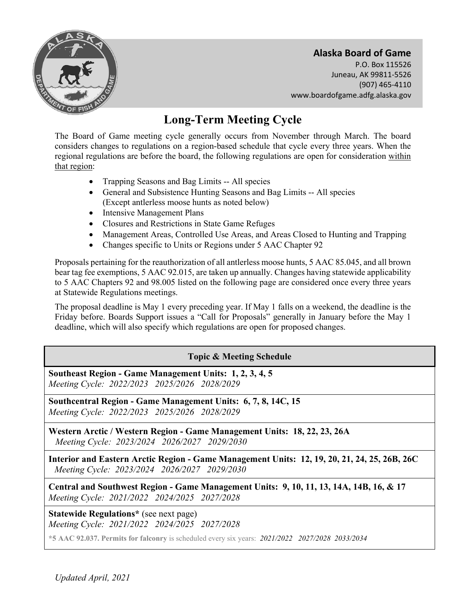

**Alaska Board of Game**  P.O. Box 115526 Juneau, AK 99811-5526 (907) 465-4110 www.boardofgame.adfg.alaska.gov

# **Long-Term Meeting Cycle**

The Board of Game meeting cycle generally occurs from November through March. The board considers changes to regulations on a region-based schedule that cycle every three years. When the regional regulations are before the board, the following regulations are open for consideration within that region:

- Trapping Seasons and Bag Limits -- All species
- General and Subsistence Hunting Seasons and Bag Limits -- All species (Except antlerless moose hunts as noted below)
- Intensive Management Plans
- Closures and Restrictions in State Game Refuges
- Management Areas, Controlled Use Areas, and Areas Closed to Hunting and Trapping
- Changes specific to Units or Regions under 5 AAC Chapter 92

Proposals pertaining for the reauthorization of all antlerless moose hunts, 5 AAC 85.045, and all brown bear tag fee exemptions, 5 AAC 92.015, are taken up annually. Changes having statewide applicability to 5 AAC Chapters 92 and 98.005 listed on the following page are considered once every three years at Statewide Regulations meetings.

The proposal deadline is May 1 every preceding year. If May 1 falls on a weekend, the deadline is the Friday before. Boards Support issues a "Call for Proposals" generally in January before the May 1 deadline, which will also specify which regulations are open for proposed changes.

## **Topic & Meeting Schedule**

**Southeast Region - Game Management Units: 1, 2, 3, 4, 5** *Meeting Cycle: 2022/2023 2025/2026 2028/2029*

**Southcentral Region - Game Management Units: 6, 7, 8, 14C, 15** *Meeting Cycle: 2022/2023 2025/2026 2028/2029*

**Western Arctic / Western Region - Game Management Units: 18, 22, 23, 26A** *Meeting Cycle: 2023/2024 2026/2027 2029/2030*

**Interior and Eastern Arctic Region - Game Management Units: 12, 19, 20, 21, 24, 25, 26B, 26C** *Meeting Cycle: 2023/2024 2026/2027 2029/2030*

**Central and Southwest Region - Game Management Units: 9, 10, 11, 13, 14A, 14B, 16, & 17** *Meeting Cycle: 2021/2022 2024/2025 2027/2028*

**Statewide Regulations\*** (see next page) *Meeting Cycle: 2021/2022 2024/2025 2027/2028*

**\*5 AAC 92.037. Permits for falconry** is scheduled every six years: *2021/2022 2027/2028 2033/2034*